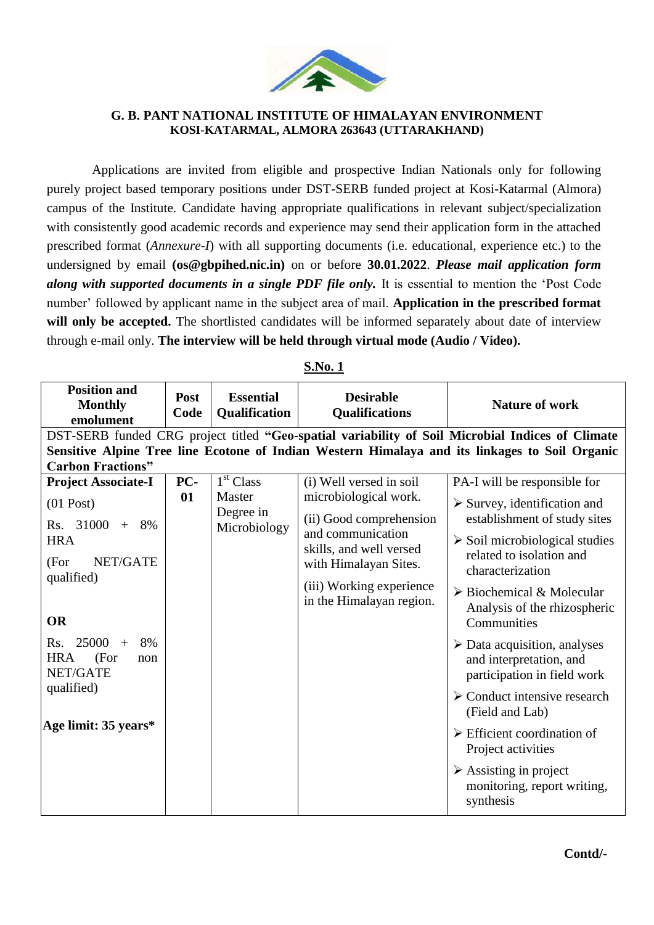

## **G. B. PANT NATIONAL INSTITUTE OF HIMALAYAN ENVIRONMENT KOSI-KATARMAL, ALMORA 263643 (UTTARAKHAND)**

Applications are invited from eligible and prospective Indian Nationals only for following purely project based temporary positions under DST-SERB funded project at Kosi-Katarmal (Almora) campus of the Institute. Candidate having appropriate qualifications in relevant subject/specialization with consistently good academic records and experience may send their application form in the attached prescribed format (*Annexure-I*) with all supporting documents (i.e. educational, experience etc.) to the undersigned by email **(os@gbpihed.nic.in)** on or before **30.01.2022**. *Please mail application form along with supported documents in a single PDF file only.* It is essential to mention the 'Post Code number' followed by applicant name in the subject area of mail. **Application in the prescribed format**  will only be accepted. The shortlisted candidates will be informed separately about date of interview through e-mail only. **The interview will be held through virtual mode (Audio / Video).**

| <b>Position and</b><br><b>Monthly</b><br>emolument                                             | Post<br>Code | <b>Essential</b><br>Qualification      | <b>Desirable</b><br><b>Qualifications</b>            | <b>Nature of work</b>                                                                                 |  |  |  |
|------------------------------------------------------------------------------------------------|--------------|----------------------------------------|------------------------------------------------------|-------------------------------------------------------------------------------------------------------|--|--|--|
|                                                                                                |              |                                        |                                                      | DST-SERB funded CRG project titled "Geo-spatial variability of Soil Microbial Indices of Climate      |  |  |  |
| Sensitive Alpine Tree line Ecotone of Indian Western Himalaya and its linkages to Soil Organic |              |                                        |                                                      |                                                                                                       |  |  |  |
| <b>Carbon Fractions"</b>                                                                       |              |                                        |                                                      |                                                                                                       |  |  |  |
| <b>Project Associate-I</b>                                                                     | PC-<br>01    | 1 <sup>st</sup> Class<br><b>Master</b> | (i) Well versed in soil<br>microbiological work.     | PA-I will be responsible for                                                                          |  |  |  |
| $(01$ Post)                                                                                    |              | Degree in                              |                                                      | $\triangleright$ Survey, identification and                                                           |  |  |  |
| $Rs. 31000 +$<br>8%                                                                            |              | Microbiology                           | (ii) Good comprehension<br>and communication         | establishment of study sites                                                                          |  |  |  |
| <b>HRA</b>                                                                                     |              |                                        | skills, and well versed                              | $\triangleright$ Soil microbiological studies                                                         |  |  |  |
| NET/GATE<br>(For<br>qualified)                                                                 |              |                                        | with Himalayan Sites.                                | related to isolation and<br>characterization                                                          |  |  |  |
| <b>OR</b>                                                                                      |              |                                        | (iii) Working experience<br>in the Himalayan region. | $\triangleright$ Biochemical & Molecular<br>Analysis of the rhizospheric<br>Communities               |  |  |  |
| 25000<br>8%<br>Rs.<br>$+$<br><b>HRA</b><br>(For<br>non<br>NET/GATE                             |              |                                        |                                                      | $\triangleright$ Data acquisition, analyses<br>and interpretation, and<br>participation in field work |  |  |  |
| qualified)                                                                                     |              |                                        |                                                      | $\triangleright$ Conduct intensive research<br>(Field and Lab)                                        |  |  |  |
| Age limit: 35 years*                                                                           |              |                                        |                                                      | $\triangleright$ Efficient coordination of<br>Project activities                                      |  |  |  |
|                                                                                                |              |                                        |                                                      | $\triangleright$ Assisting in project<br>monitoring, report writing,<br>synthesis                     |  |  |  |

**S.No. 1**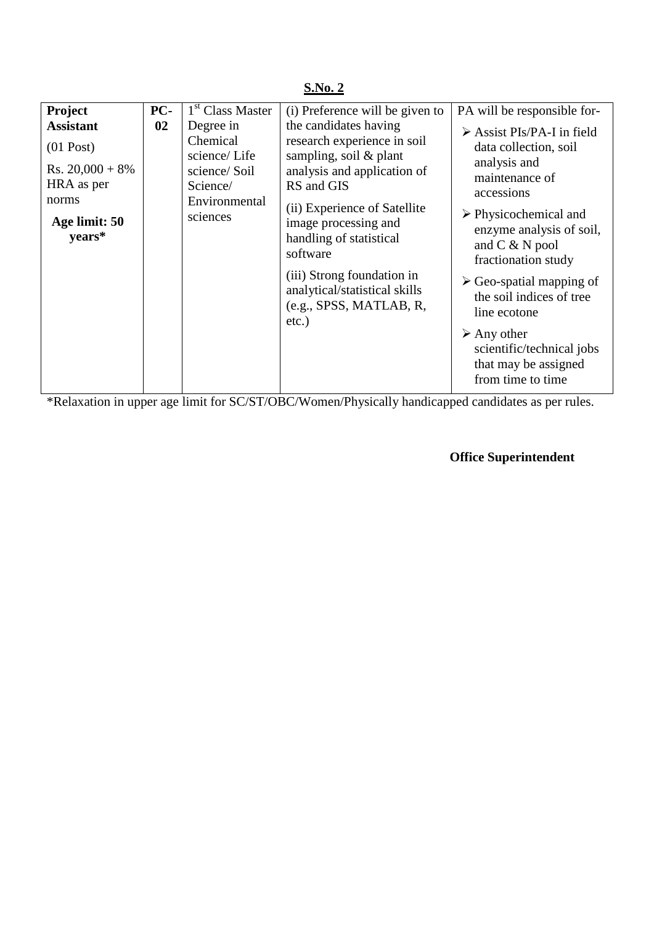| Project<br>PC-                                                                                                | 1 <sup>st</sup> Class Master                                                                   | (i) Preference will be given to                                                                                                                                                                                                                                                                                                    | PA will be responsible for-                                                                                                                                                                                                                                                                                                                                                                                                      |
|---------------------------------------------------------------------------------------------------------------|------------------------------------------------------------------------------------------------|------------------------------------------------------------------------------------------------------------------------------------------------------------------------------------------------------------------------------------------------------------------------------------------------------------------------------------|----------------------------------------------------------------------------------------------------------------------------------------------------------------------------------------------------------------------------------------------------------------------------------------------------------------------------------------------------------------------------------------------------------------------------------|
| 02<br><b>Assistant</b><br>$(01$ Post)<br>Rs. $20,000 + 8\%$<br>HRA as per<br>norms<br>Age limit: 50<br>years* | Degree in<br>Chemical<br>science/Life<br>science/Soil<br>Science/<br>Environmental<br>sciences | the candidates having<br>research experience in soil<br>sampling, soil $&$ plant<br>analysis and application of<br>RS and GIS<br>(ii) Experience of Satellite<br>image processing and<br>handling of statistical<br>software<br>(iii) Strong foundation in<br>analytical/statistical skills<br>(e.g., SPSS, MATLAB, R,<br>$etc.$ ) | $\triangleright$ Assist PIs/PA-I in field<br>data collection, soil<br>analysis and<br>maintenance of<br>accessions<br>$\triangleright$ Physicochemical and<br>enzyme analysis of soil,<br>and $C & N$ pool<br>fractionation study<br>$\triangleright$ Geo-spatial mapping of<br>the soil indices of tree<br>line ecotone<br>$\triangleright$ Any other<br>scientific/technical jobs<br>that may be assigned<br>from time to time |

\*Relaxation in upper age limit for SC/ST/OBC/Women/Physically handicapped candidates as per rules.

**Office Superintendent** 

# **S.No. 2**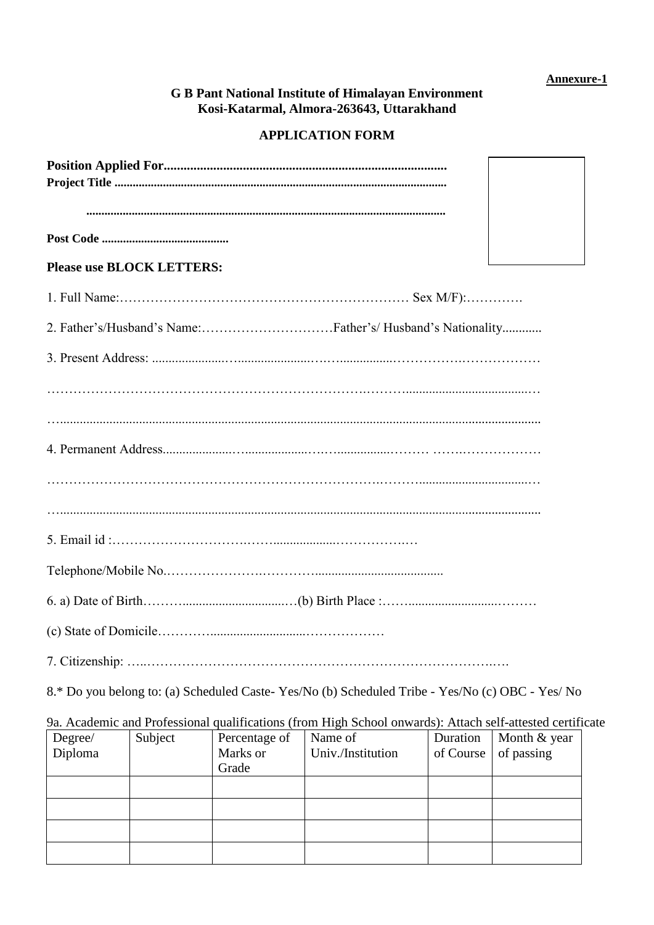#### **Annexure-1**

# **G B Pant National Institute of Himalayan Environment Kosi-Katarmal, Almora-263643, Uttarakhand**

# **APPLICATION FORM**

| <b>Please use BLOCK LETTERS:</b> |  |
|----------------------------------|--|
|                                  |  |
|                                  |  |
|                                  |  |
|                                  |  |
|                                  |  |
|                                  |  |
|                                  |  |
|                                  |  |
|                                  |  |
|                                  |  |
|                                  |  |
|                                  |  |
|                                  |  |
|                                  |  |

8.\* Do you belong to: (a) Scheduled Caste- Yes/No (b) Scheduled Tribe - Yes/No (c) OBC - Yes/ No

| Degree/ | Subject | Percentage of | Name of           | Duration  | Month & year |
|---------|---------|---------------|-------------------|-----------|--------------|
| Diploma |         | Marks or      | Univ./Institution | of Course | of passing   |
|         |         | Grade         |                   |           |              |
|         |         |               |                   |           |              |
|         |         |               |                   |           |              |
|         |         |               |                   |           |              |
|         |         |               |                   |           |              |
|         |         |               |                   |           |              |

9a. Academic and Professional qualifications (from High School onwards): Attach self-attested certificate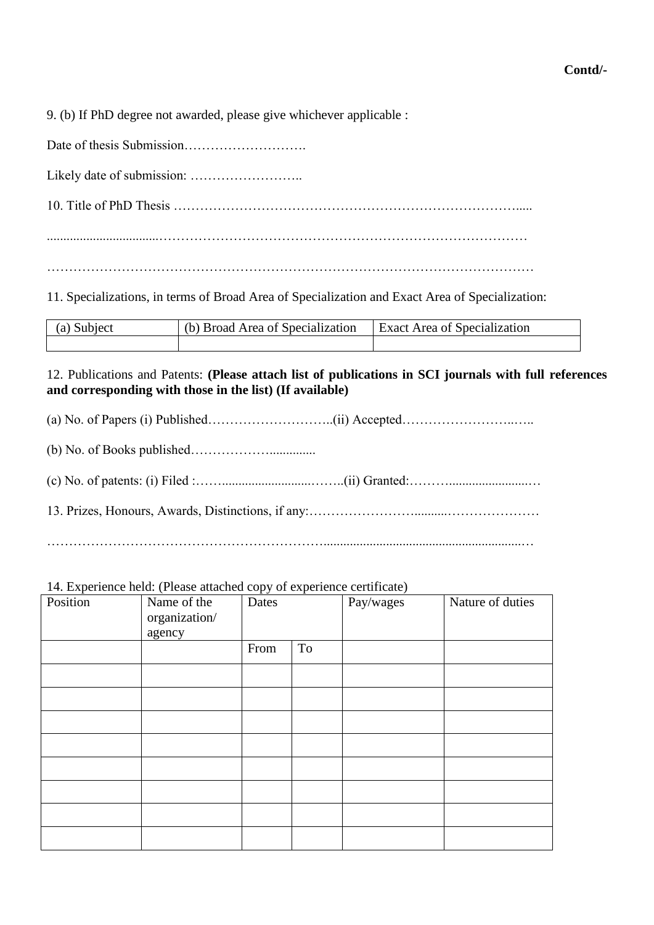9. (b) If PhD degree not awarded, please give whichever applicable :

Date of thesis Submission……………………….

Likely date of submission: ……………………..

10. Title of PhD Thesis …………………………………………………………………….....

..................................…………………………………………………………………………

…………………………………………………………………………………………………

11. Specializations, in terms of Broad Area of Specialization and Exact Area of Specialization:

| (a) Subject | (b) Broad Area of Specialization | <b>Exact Area of Specialization</b> |  |
|-------------|----------------------------------|-------------------------------------|--|
|             |                                  |                                     |  |

# 12. Publications and Patents: **(Please attach list of publications in SCI journals with full references and corresponding with those in the list) (If available)**

(a) No. of Papers (i) Published………………………..(ii) Accepted……………………..…..

(b) No. of Books published………………..............

(c) No. of patents: (i) Filed :……...........................……..(ii) Granted:………........................…

13. Prizes, Honours, Awards, Distinctions, if any:……………………..........…………………

………………………………………………………............................................................…

### 14. Experience held: (Please attached copy of experience certificate)

| $\overline{\phantom{a}}$<br>Position | $\sim$<br>Name of the<br>organization/<br>agency | $\overline{\phantom{a}}$<br>$\mathbf{r}$<br>Dates |           | $\overline{\phantom{a}}$<br>Pay/wages | Nature of duties |
|--------------------------------------|--------------------------------------------------|---------------------------------------------------|-----------|---------------------------------------|------------------|
|                                      |                                                  | From                                              | <b>To</b> |                                       |                  |
|                                      |                                                  |                                                   |           |                                       |                  |
|                                      |                                                  |                                                   |           |                                       |                  |
|                                      |                                                  |                                                   |           |                                       |                  |
|                                      |                                                  |                                                   |           |                                       |                  |
|                                      |                                                  |                                                   |           |                                       |                  |
|                                      |                                                  |                                                   |           |                                       |                  |
|                                      |                                                  |                                                   |           |                                       |                  |
|                                      |                                                  |                                                   |           |                                       |                  |